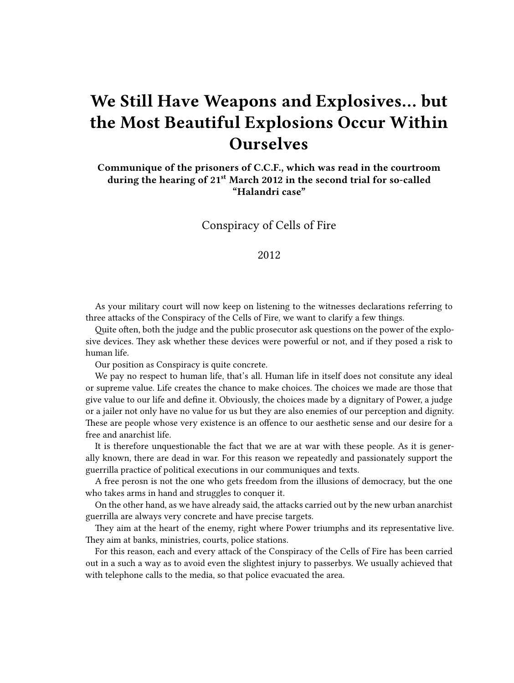## **We Still Have Weapons and Explosives… but the Most Beautiful Explosions Occur Within Ourselves**

**Communique of the prisoners of C.C.F., which was read in the courtroom during the hearing of 21st March 2012 in the second trial for so-called "Halandri case"**

Conspiracy of Cells of Fire

## 2012

As your military court will now keep on listening to the witnesses declarations referring to three attacks of the Conspiracy of the Cells of Fire, we want to clarify a few things.

Quite often, both the judge and the public prosecutor ask questions on the power of the explosive devices. They ask whether these devices were powerful or not, and if they posed a risk to human life.

Our position as Conspiracy is quite concrete.

We pay no respect to human life, that's all. Human life in itself does not consitute any ideal or supreme value. Life creates the chance to make choices. The choices we made are those that give value to our life and define it. Obviously, the choices made by a dignitary of Power, a judge or a jailer not only have no value for us but they are also enemies of our perception and dignity. These are people whose very existence is an offence to our aesthetic sense and our desire for a free and anarchist life.

It is therefore unquestionable the fact that we are at war with these people. As it is generally known, there are dead in war. For this reason we repeatedly and passionately support the guerrilla practice of political executions in our communiques and texts.

A free perosn is not the one who gets freedom from the illusions of democracy, but the one who takes arms in hand and struggles to conquer it.

On the other hand, as we have already said, the attacks carried out by the new urban anarchist guerrilla are always very concrete and have precise targets.

They aim at the heart of the enemy, right where Power triumphs and its representative live. They aim at banks, ministries, courts, police stations.

For this reason, each and every attack of the Conspiracy of the Cells of Fire has been carried out in a such a way as to avoid even the slightest injury to passerbys. We usually achieved that with telephone calls to the media, so that police evacuated the area.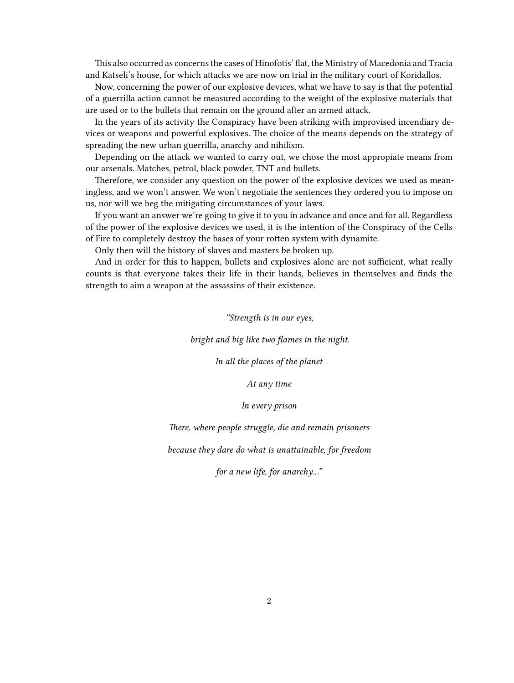This also occurred as concerns the cases of Hinofotis' flat, the Ministry of Macedonia and Tracia and Katseli's house, for which attacks we are now on trial in the military court of Koridallos.

Now, concerning the power of our explosive devices, what we have to say is that the potential of a guerrilla action cannot be measured according to the weight of the explosive materials that are used or to the bullets that remain on the ground after an armed attack.

In the years of its activity the Conspiracy have been striking with improvised incendiary devices or weapons and powerful explosives. The choice of the means depends on the strategy of spreading the new urban guerrilla, anarchy and nihilism.

Depending on the attack we wanted to carry out, we chose the most appropiate means from our arsenals. Matches, petrol, black powder, TNT and bullets.

Therefore, we consider any question on the power of the explosive devices we used as meaningless, and we won't answer. We won't negotiate the sentences they ordered you to impose on us, nor will we beg the mitigating circumstances of your laws.

If you want an answer we're going to give it to you in advance and once and for all. Regardless of the power of the explosive devices we used, it is the intention of the Conspiracy of the Cells of Fire to completely destroy the bases of your rotten system with dynamite.

Only then will the history of slaves and masters be broken up.

And in order for this to happen, bullets and explosives alone are not sufficient, what really counts is that everyone takes their life in their hands, believes in themselves and finds the strength to aim a weapon at the assassins of their existence.

*"Strength is in our eyes,*

*bright and big like two flames in the night.*

*In all the places of the planet*

*At any time*

*In every prison*

*There, where people struggle, die and remain prisoners*

*because they dare do what is unattainable, for freedom*

*for a new life, for anarchy…"*